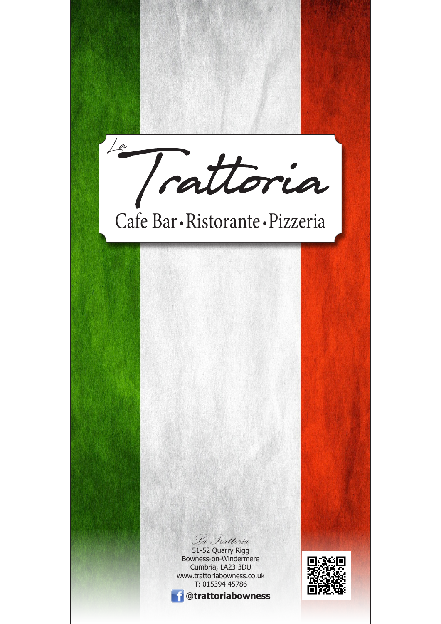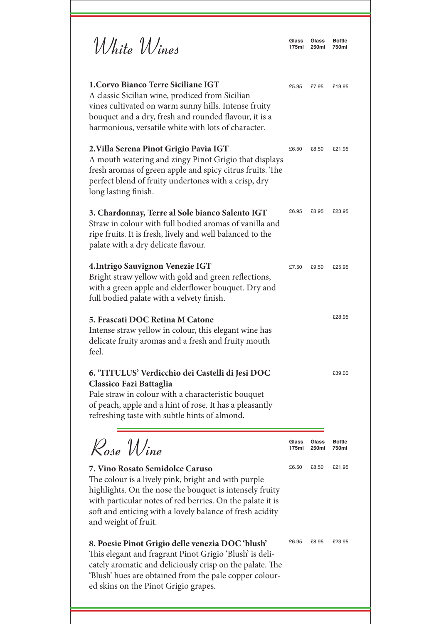| White Wines                                                                                                                                                                                                                                                                                        | Glass<br>175ml | Glass<br><b>250ml</b> | <b>Bottle</b><br>750ml |
|----------------------------------------------------------------------------------------------------------------------------------------------------------------------------------------------------------------------------------------------------------------------------------------------------|----------------|-----------------------|------------------------|
| 1. Corvo Bianco Terre Siciliane IGT<br>A classic Sicilian wine, prodiced from Sicilian<br>vines cultivated on warm sunny hills. Intense fruity<br>bouquet and a dry, fresh and rounded flavour, it is a<br>harmonious, versatile white with lots of character.                                     | £5.95          | £7.95                 | £19.95                 |
| 2. Villa Serena Pinot Grigio Pavia IGT<br>A mouth watering and zingy Pinot Grigio that displays<br>fresh aromas of green apple and spicy citrus fruits. The<br>perfect blend of fruity undertones with a crisp, dry<br>long lasting finish.                                                        | £6.50          | £8.50                 | £21.95                 |
| 3. Chardonnay, Terre al Sole bianco Salento IGT<br>Straw in colour with full bodied aromas of vanilla and<br>ripe fruits. It is fresh, lively and well balanced to the<br>palate with a dry delicate flavour.                                                                                      | £6.95          | £8.95                 | £23.95                 |
| 4. Intrigo Sauvignon Venezie IGT<br>Bright straw yellow with gold and green reflections,<br>with a green apple and elderflower bouquet. Dry and<br>full bodied palate with a velvety finish.                                                                                                       | £7.50          | £9.50                 | £25.95                 |
| 5. Frascati DOC Retina M Catone<br>Intense straw yellow in colour, this elegant wine has<br>delicate fruity aromas and a fresh and fruity mouth<br>feel.                                                                                                                                           |                |                       | £28.95                 |
| 6. 'TITULUS' Verdicchio dei Castelli di Jesi DOC<br><b>Classico Fazi Battaglia</b><br>Pale straw in colour with a characteristic bouquet<br>of peach, apple and a hint of rose. It has a pleasantly<br>refreshing taste with subtle hints of almond.                                               |                |                       | £39.00                 |
| $\mathcal{R}_{ose}$ Wine                                                                                                                                                                                                                                                                           | Glass<br>175ml | Glass<br>250ml        | <b>Bottle</b><br>750ml |
| 7. Vino Rosato Semidolce Caruso<br>The colour is a lively pink, bright and with purple<br>highlights. On the nose the bouquet is intensely fruity<br>with particular notes of red berries. On the palate it is<br>soft and enticing with a lovely balance of fresh acidity<br>and weight of fruit. | £6.50          | £8.50                 | £21.95                 |
| 8. Poesie Pinot Grigio delle venezia DOC 'blush'<br>This elegant and fragrant Pinot Grigio 'Blush' is deli-<br>cately aromatic and deliciously crisp on the palate. The<br>'Blush' hues are obtained from the pale copper colour-<br>ed skins on the Pinot Grigio grapes.                          | £6.95          | £8.95                 | £23.95                 |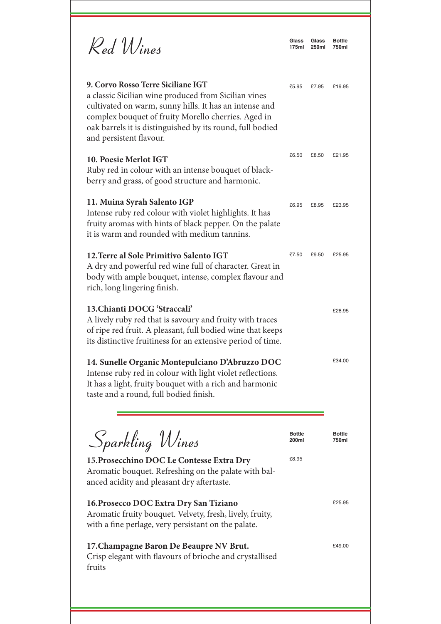| Red Wines                                                                                                                                                                                                                                                                                           | Glass<br>175ml         | Glass<br><b>250ml</b> | <b>Bottle</b><br>750ml |
|-----------------------------------------------------------------------------------------------------------------------------------------------------------------------------------------------------------------------------------------------------------------------------------------------------|------------------------|-----------------------|------------------------|
| 9. Corvo Rosso Terre Siciliane IGT<br>a classic Sicilian wine produced from Sicilian vines<br>cultivated on warm, sunny hills. It has an intense and<br>complex bouquet of fruity Morello cherries. Aged in<br>oak barrels it is distinguished by its round, full bodied<br>and persistent flavour. | £5.95                  | £7.95                 | £19.95                 |
| 10. Poesie Merlot IGT<br>Ruby red in colour with an intense bouquet of black-<br>berry and grass, of good structure and harmonic.                                                                                                                                                                   | £6.50                  | £8.50                 | £21.95                 |
| 11. Muina Syrah Salento IGP<br>Intense ruby red colour with violet highlights. It has<br>fruity aromas with hints of black pepper. On the palate<br>it is warm and rounded with medium tannins.                                                                                                     | £6.95                  | £8.95                 | £23.95                 |
| 12. Terre al Sole Primitivo Salento IGT<br>A dry and powerful red wine full of character. Great in<br>body with ample bouquet, intense, complex flavour and<br>rich, long lingering finish.                                                                                                         | £7.50                  | £9.50                 | £25.95                 |
| 13. Chianti DOCG 'Straccali'<br>A lively ruby red that is savoury and fruity with traces<br>of ripe red fruit. A pleasant, full bodied wine that keeps<br>its distinctive fruitiness for an extensive period of time.                                                                               |                        |                       | £28.95                 |
| 14. Sunelle Organic Montepulciano D'Abruzzo DOC<br>Intense ruby red in colour with light violet reflections.<br>It has a light, fruity bouquet with a rich and harmonic<br>taste and a round, full bodied finish.                                                                                   |                        |                       | £34.00                 |
| Sparkling Wines                                                                                                                                                                                                                                                                                     | <b>Bottle</b><br>200ml |                       | <b>Bottle</b><br>750ml |
| 15. Prosecchino DOC Le Contesse Extra Dry<br>Aromatic bouquet. Refreshing on the palate with bal-<br>anced acidity and pleasant dry aftertaste.                                                                                                                                                     | £8.95                  |                       |                        |
| 16. Prosecco DOC Extra Dry San Tiziano<br>Aromatic fruity bouquet. Velvety, fresh, lively, fruity,<br>with a fine perlage, very persistant on the palate.                                                                                                                                           |                        |                       | £25.95                 |
| 17. Champagne Baron De Beaupre NV Brut.<br>Crisp elegant with flavours of brioche and crystallised                                                                                                                                                                                                  |                        |                       | £49.00                 |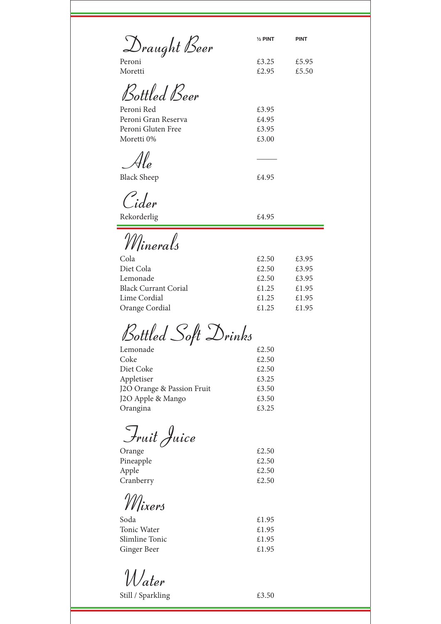Draught Beer **½ PINT PINT**

£3.25 £2.95

£3.95 £4.95 £3.95 £3.00

£5.95 £5.50

| Peroni  |  |
|---------|--|
| Moretti |  |

Bottled Beer

Peroni Red Peroni Gran Reserva Peroni Gluten Free Moretti 0%

 $\mathcal{A}$ le  $\qquad \qquad \qquad$ Black Sheep  $\pounds 4.95$ 

Cider

Rekorderlig  $£4.95$ 

Minerals

| Cola                        | £2.50 | £3.95 |
|-----------------------------|-------|-------|
| Diet Cola                   | £2.50 | £3.95 |
| Lemonade                    | £2.50 | £3.95 |
| <b>Black Currant Corial</b> | £1.25 | £1.95 |
| Lime Cordial                | £1.25 | £1.95 |
| Orange Cordial              | £1.25 | £1.95 |
|                             |       |       |

Bottled Soft Drinks

| £2.50 |
|-------|
| £2.50 |
| £2.50 |
| £3.25 |
| £3.50 |
| £3.50 |
| £3.25 |
|       |

Fruit Juice

| , ,       |       |
|-----------|-------|
| Orange    | £2.50 |
| Pineapple | £2.50 |
| Apple     | £2.50 |
| Cranberry | £2.50 |
|           |       |

Mixers

| Soda           | £1.95 |
|----------------|-------|
| Tonic Water    | £1.95 |
| Slimline Tonic | £1.95 |
| Ginger Beer    | £1.95 |

Water

Still / Sparkling  $£3.50$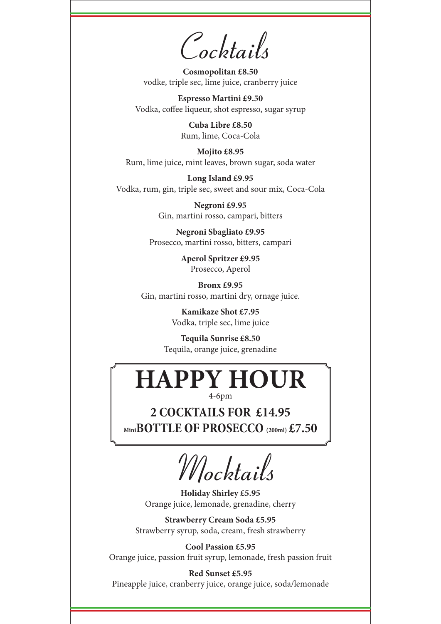Cocktails

**Cosmopolitan £8.50** vodke, triple sec, lime juice, cranberry juice

**Espresso Martini £9.50** Vodka, coffee liqueur, shot espresso, sugar syrup

> **Cuba Libre £8.50** Rum, lime, Coca-Cola

**Mojito £8.95** Rum, lime juice, mint leaves, brown sugar, soda water

**Long Island £9.95** Vodka, rum, gin, triple sec, sweet and sour mix, Coca-Cola

> **Negroni £9.95** Gin, martini rosso, campari, bitters

**Negroni Sbagliato £9.95** Prosecco, martini rosso, bitters, campari

> **Aperol Spritzer £9.95** Prosecco, Aperol

**Bronx £9.95** Gin, martini rosso, martini dry, ornage juice.

> **Kamikaze Shot £7.95** Vodka, triple sec, lime juice

**Tequila Sunrise £8.50** Tequila, orange juice, grenadine

## **HAPPY HOUR**

4-6pm

**2 COCKTAILS FOR £14.95 MiniBOTTLE OF PROSECCO (200ml) £7.50**

Mocktails

**Holiday Shirley £5.95** Orange juice, lemonade, grenadine, cherry

**Strawberry Cream Soda £5.95** Strawberry syrup, soda, cream, fresh strawberry

**Cool Passion £5.95** Orange juice, passion fruit syrup, lemonade, fresh passion fruit

**Red Sunset £5.95** Pineapple juice, cranberry juice, orange juice, soda/lemonade